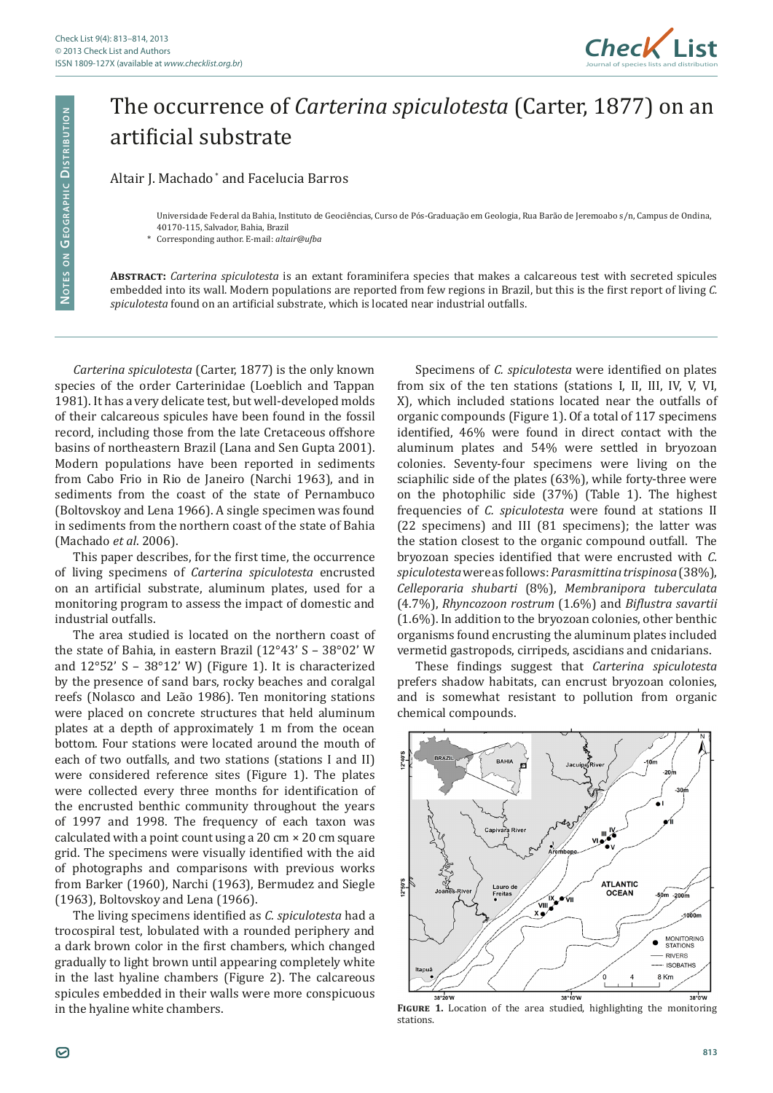

## The occurrence of *Carterina spiculotesta* (Carter, 1877) on an artificial substrate

Altair J. Machado \* and Facelucia Barros

**Abstract:** *Carterina spiculotesta* is an extant foraminifera species that makes a calcareous test with secreted spicules embedded into its wall. Modern populations are reported from few regions in Brazil, but this is the first report of living *C. spiculotesta* found on an artificial substrate, which is located near industrial outfalls.

*Carterina spiculotesta* (Carter, 1877) is the only known species of the order Carterinidae (Loeblich and Tappan 1981). It has a very delicate test, but well-developed molds of their calcareous spicules have been found in the fossil record, including those from the late Cretaceous offshore basins of northeastern Brazil (Lana and Sen Gupta 2001). Modern populations have been reported in sediments from Cabo Frio in Rio de Janeiro (Narchi 1963), and in sediments from the coast of the state of Pernambuco (Boltovskoy and Lena 1966). A single specimen was found in sediments from the northern coast of the state of Bahia (Machado *et al*. 2006).

This paper describes, for the first time, the occurrence of living specimens of *Carterina spiculotesta* encrusted on an artificial substrate, aluminum plates, used for a monitoring program to assess the impact of domestic and industrial outfalls.

The area studied is located on the northern coast of the state of Bahia, in eastern Brazil (12°43' S – 38°02' W and 12°52' S – 38°12' W) (Figure 1). It is characterized by the presence of sand bars, rocky beaches and coralgal reefs (Nolasco and Leão 1986). Ten monitoring stations were placed on concrete structures that held aluminum plates at a depth of approximately 1 m from the ocean bottom. Four stations were located around the mouth of each of two outfalls, and two stations (stations I and II) were considered reference sites (Figure 1). The plates were collected every three months for identification of the encrusted benthic community throughout the years of 1997 and 1998. The frequency of each taxon was calculated with a point count using a 20 cm × 20 cm square grid. The specimens were visually identified with the aid of photographs and comparisons with previous works from Barker (1960), Narchi (1963), Bermudez and Siegle (1963), Boltovskoy and Lena (1966).

The living specimens identified as *C. spiculotesta* had a trocospiral test, lobulated with a rounded periphery and a dark brown color in the first chambers, which changed gradually to light brown until appearing completely white in the last hyaline chambers (Figure 2). The calcareous spicules embedded in their walls were more conspicuous in the hyaline white chambers.

Specimens of *C. spiculotesta* were identified on plates from six of the ten stations (stations I, II, III, IV, V, VI, X), which included stations located near the outfalls of organic compounds (Figure 1). Of a total of 117 specimens identified, 46% were found in direct contact with the aluminum plates and 54% were settled in bryozoan colonies. Seventy-four specimens were living on the sciaphilic side of the plates (63%), while forty-three were on the photophilic side (37%) (Table 1). The highest frequencies of *C. spiculotesta* were found at stations II (22 specimens) and III (81 specimens); the latter was the station closest to the organic compound outfall. The bryozoan species identified that were encrusted with *C. spiculotesta* were as follows: *Parasmittina trispinosa* (38%), *Celleporaria shubarti* (8%), *Membranipora tuberculata* (4.7%), *Rhyncozoon rostrum* (1.6%) and *Biflustra savartii*  (1.6%). In addition to the bryozoan colonies, other benthic organisms found encrusting the aluminum plates included vermetid gastropods, cirripeds, ascidians and cnidarians.

These findings suggest that *Carterina spiculotesta* prefers shadow habitats, can encrust bryozoan colonies, and is somewhat resistant to pollution from organic chemical compounds.



**Figure 1.** Location of the area studied, highlighting the monitoring stations.

Universidade Federal da Bahia, Instituto de Geociências, Curso de Pós-Graduação em Geologia, Rua Barão de Jeremoabo s/n, Campus de Ondina, 40170-115, Salvador, Bahia, Brazil

<sup>\*</sup> Corresponding author. E-mail: *altair@ufba*